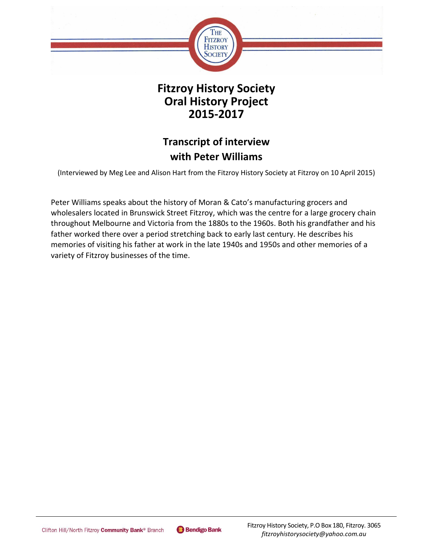

# **Fitzroy History Society Oral History Project 2015-2017**

# **Transcript of interview with Peter Williams**

(Interviewed by Meg Lee and Alison Hart from the Fitzroy History Society at Fitzroy on 10 April 2015)

Peter Williams speaks about the history of Moran & Cato's manufacturing grocers and wholesalers located in Brunswick Street Fitzroy, which was the centre for a large grocery chain throughout Melbourne and Victoria from the 1880s to the 1960s. Both his grandfather and his father worked there over a period stretching back to early last century. He describes his memories of visiting his father at work in the late 1940s and 1950s and other memories of a variety of Fitzroy businesses of the time.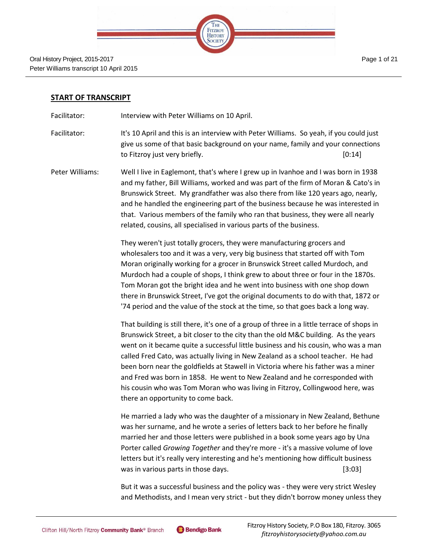| THE FITZROY<br>HISTORY |  |
|------------------------|--|
|                        |  |
|                        |  |

### **START OF TRANSCRIPT**

Facilitator: Interview with Peter Williams on 10 April.

Facilitator: It's 10 April and this is an interview with Peter Williams. So yeah, if you could just give us some of that basic background on your name, family and your connections to Fitzroy just very briefly. The same state of the state of  $[0:14]$ 

Peter Williams: Well I live in Eaglemont, that's where I grew up in Ivanhoe and I was born in 1938 and my father, Bill Williams, worked and was part of the firm of Moran & Cato's in Brunswick Street. My grandfather was also there from like 120 years ago, nearly, and he handled the engineering part of the business because he was interested in that. Various members of the family who ran that business, they were all nearly related, cousins, all specialised in various parts of the business.

> They weren't just totally grocers, they were manufacturing grocers and wholesalers too and it was a very, very big business that started off with Tom Moran originally working for a grocer in Brunswick Street called Murdoch, and Murdoch had a couple of shops, I think grew to about three or four in the 1870s. Tom Moran got the bright idea and he went into business with one shop down there in Brunswick Street, I've got the original documents to do with that, 1872 or '74 period and the value of the stock at the time, so that goes back a long way.

> That building is still there, it's one of a group of three in a little terrace of shops in Brunswick Street, a bit closer to the city than the old M&C building. As the years went on it became quite a successful little business and his cousin, who was a man called Fred Cato, was actually living in New Zealand as a school teacher. He had been born near the goldfields at Stawell in Victoria where his father was a miner and Fred was born in 1858. He went to New Zealand and he corresponded with his cousin who was Tom Moran who was living in Fitzroy, Collingwood here, was there an opportunity to come back.

> He married a lady who was the daughter of a missionary in New Zealand, Bethune was her surname, and he wrote a series of letters back to her before he finally married her and those letters were published in a book some years ago by Una Porter called *Growing Together* and they're more - it's a massive volume of love letters but it's really very interesting and he's mentioning how difficult business was in various parts in those days. [3:03]

> But it was a successful business and the policy was - they were very strict Wesley and Methodists, and I mean very strict - but they didn't borrow money unless they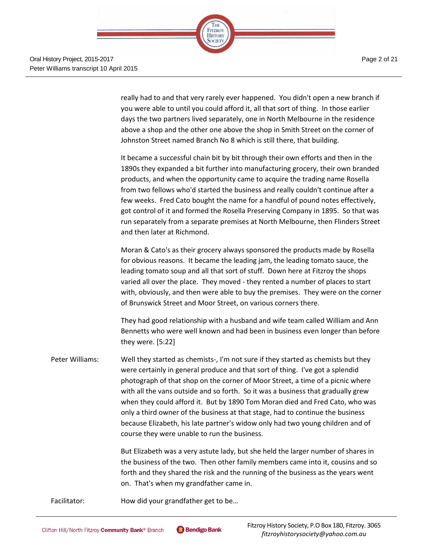

really had to and that very rarely ever happened. You didn't open a new branch if you were able to until you could afford it, all that sort of thing. In those earlier days the two partners lived separately, one in North Melbourne in the residence above a shop and the other one above the shop in Smith Street on the corner of Johnston Street named Branch No 8 which is still there, that building.

It became a successful chain bit by bit through their own efforts and then in the 1890s they expanded a bit further into manufacturing grocery, their own branded products, and when the opportunity came to acquire the trading name Rosella from two fellows who'd started the business and really couldn't continue after a few weeks. Fred Cato bought the name for a handful of pound notes effectively, got control of it and formed the Rosella Preserving Company in 1895. So that was run separately from a separate premises at North Melbourne, then Flinders Street and then later at Richmond.

Moran & Cato's as their grocery always sponsored the products made by Rosella for obvious reasons. It became the leading jam, the leading tomato sauce, the leading tomato soup and all that sort of stuff. Down here at Fitzroy the shops varied all over the place. They moved - they rented a number of places to start with, obviously, and then were able to buy the premises. They were on the corner of Brunswick Street and Moor Street, on various corners there.

They had good relationship with a husband and wife team called William and Ann Bennetts who were well known and had been in business even longer than before they were. [5:22]

Peter Williams: Well they started as chemists-, I'm not sure if they started as chemists but they were certainly in general produce and that sort of thing. I've got a splendid photograph of that shop on the corner of Moor Street, a time of a picnic where with all the vans outside and so forth. So it was a business that gradually grew when they could afford it. But by 1890 Tom Moran died and Fred Cato, who was only a third owner of the business at that stage, had to continue the business because Elizabeth, his late partner's widow only had two young children and of course they were unable to run the business.

> But Elizabeth was a very astute lady, but she held the larger number of shares in the business of the two. Then other family members came into it, cousins and so forth and they shared the risk and the running of the business as the years went on. That's when my grandfather came in.

Facilitator: How did your grandfather get to be...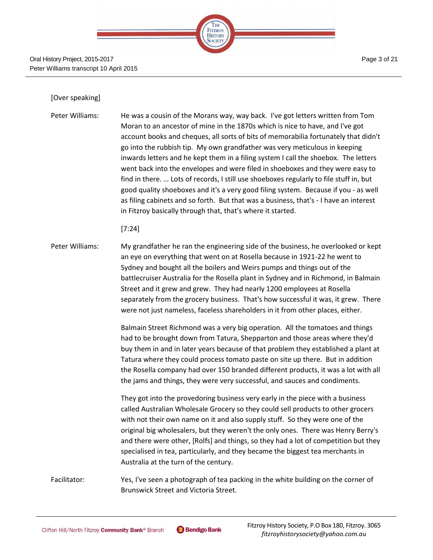| HE                               |  |
|----------------------------------|--|
| <b>FITZROY</b><br><b>HISTORY</b> |  |
|                                  |  |
|                                  |  |

#### Oral History Project, 2015-2017 Peter Williams transcript 10 April 2015

# Page 3 of 21

#### [Over speaking]

Peter Williams: He was a cousin of the Morans way, way back. I've got letters written from Tom Moran to an ancestor of mine in the 1870s which is nice to have, and I've got account books and cheques, all sorts of bits of memorabilia fortunately that didn't go into the rubbish tip. My own grandfather was very meticulous in keeping inwards letters and he kept them in a filing system I call the shoebox. The letters went back into the envelopes and were filed in shoeboxes and they were easy to find in there. … Lots of records, I still use shoeboxes regularly to file stuff in, but good quality shoeboxes and it's a very good filing system. Because if you - as well as filing cabinets and so forth. But that was a business, that's - I have an interest in Fitzroy basically through that, that's where it started.

#### [7:24]

Peter Williams: My grandfather he ran the engineering side of the business, he overlooked or kept an eye on everything that went on at Rosella because in 1921-22 he went to Sydney and bought all the boilers and Weirs pumps and things out of the battlecruiser Australia for the Rosella plant in Sydney and in Richmond, in Balmain Street and it grew and grew. They had nearly 1200 employees at Rosella separately from the grocery business. That's how successful it was, it grew. There were not just nameless, faceless shareholders in it from other places, either.

> Balmain Street Richmond was a very big operation. All the tomatoes and things had to be brought down from Tatura, Shepparton and those areas where they'd buy them in and in later years because of that problem they established a plant at Tatura where they could process tomato paste on site up there. But in addition the Rosella company had over 150 branded different products, it was a lot with all the jams and things, they were very successful, and sauces and condiments.

> They got into the provedoring business very early in the piece with a business called Australian Wholesale Grocery so they could sell products to other grocers with not their own name on it and also supply stuff. So they were one of the original big wholesalers, but they weren't the only ones. There was Henry Berry's and there were other, [Rolfs] and things, so they had a lot of competition but they specialised in tea, particularly, and they became the biggest tea merchants in Australia at the turn of the century.

Facilitator: Yes, I've seen a photograph of tea packing in the white building on the corner of Brunswick Street and Victoria Street.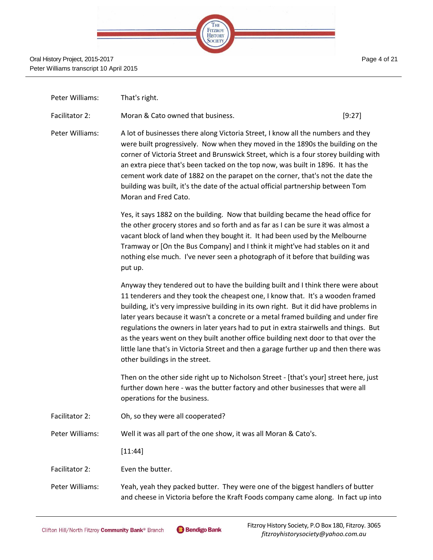|  | <b>FITZROY</b><br>HISTORY |  |
|--|---------------------------|--|
|  |                           |  |
|  |                           |  |

| Peter Williams: | That's right.                                                                                                                                                                                                                                                                                                                                                                                                                                                                                                                                                                                                                                              |        |
|-----------------|------------------------------------------------------------------------------------------------------------------------------------------------------------------------------------------------------------------------------------------------------------------------------------------------------------------------------------------------------------------------------------------------------------------------------------------------------------------------------------------------------------------------------------------------------------------------------------------------------------------------------------------------------------|--------|
| Facilitator 2:  | Moran & Cato owned that business.                                                                                                                                                                                                                                                                                                                                                                                                                                                                                                                                                                                                                          | [9:27] |
| Peter Williams: | A lot of businesses there along Victoria Street, I know all the numbers and they<br>were built progressively. Now when they moved in the 1890s the building on the<br>corner of Victoria Street and Brunswick Street, which is a four storey building with<br>an extra piece that's been tacked on the top now, was built in 1896. It has the<br>cement work date of 1882 on the parapet on the corner, that's not the date the<br>building was built, it's the date of the actual official partnership between Tom<br>Moran and Fred Cato.                                                                                                                |        |
|                 | Yes, it says 1882 on the building. Now that building became the head office for<br>the other grocery stores and so forth and as far as I can be sure it was almost a<br>vacant block of land when they bought it. It had been used by the Melbourne<br>Tramway or [On the Bus Company] and I think it might've had stables on it and<br>nothing else much. I've never seen a photograph of it before that building was<br>put up.                                                                                                                                                                                                                          |        |
|                 | Anyway they tendered out to have the building built and I think there were about<br>11 tenderers and they took the cheapest one, I know that. It's a wooden framed<br>building, it's very impressive building in its own right. But it did have problems in<br>later years because it wasn't a concrete or a metal framed building and under fire<br>regulations the owners in later years had to put in extra stairwells and things. But<br>as the years went on they built another office building next door to that over the<br>little lane that's in Victoria Street and then a garage further up and then there was<br>other buildings in the street. |        |
|                 | Then on the other side right up to Nicholson Street - [that's your] street here, just<br>further down here - was the butter factory and other businesses that were all<br>operations for the business.                                                                                                                                                                                                                                                                                                                                                                                                                                                     |        |
| Facilitator 2:  | Oh, so they were all cooperated?                                                                                                                                                                                                                                                                                                                                                                                                                                                                                                                                                                                                                           |        |
| Peter Williams: | Well it was all part of the one show, it was all Moran & Cato's.                                                                                                                                                                                                                                                                                                                                                                                                                                                                                                                                                                                           |        |
|                 | [11:44]                                                                                                                                                                                                                                                                                                                                                                                                                                                                                                                                                                                                                                                    |        |
| Facilitator 2:  | Even the butter.                                                                                                                                                                                                                                                                                                                                                                                                                                                                                                                                                                                                                                           |        |
|                 |                                                                                                                                                                                                                                                                                                                                                                                                                                                                                                                                                                                                                                                            |        |

Peter Williams: Yeah, yeah they packed butter. They were one of the biggest handlers of butter and cheese in Victoria before the Kraft Foods company came along. In fact up into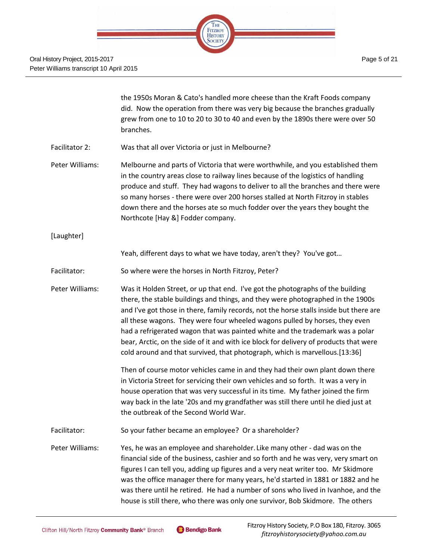

|                 | the 1950s Moran & Cato's handled more cheese than the Kraft Foods company<br>did. Now the operation from there was very big because the branches gradually<br>grew from one to 10 to 20 to 30 to 40 and even by the 1890s there were over 50<br>branches.                                                                                                                                                                                                                                                                                                                                           |
|-----------------|-----------------------------------------------------------------------------------------------------------------------------------------------------------------------------------------------------------------------------------------------------------------------------------------------------------------------------------------------------------------------------------------------------------------------------------------------------------------------------------------------------------------------------------------------------------------------------------------------------|
| Facilitator 2:  | Was that all over Victoria or just in Melbourne?                                                                                                                                                                                                                                                                                                                                                                                                                                                                                                                                                    |
| Peter Williams: | Melbourne and parts of Victoria that were worthwhile, and you established them<br>in the country areas close to railway lines because of the logistics of handling<br>produce and stuff. They had wagons to deliver to all the branches and there were<br>so many horses - there were over 200 horses stalled at North Fitzroy in stables<br>down there and the horses ate so much fodder over the years they bought the<br>Northcote [Hay &] Fodder company.                                                                                                                                       |
| [Laughter]      |                                                                                                                                                                                                                                                                                                                                                                                                                                                                                                                                                                                                     |
|                 | Yeah, different days to what we have today, aren't they? You've got                                                                                                                                                                                                                                                                                                                                                                                                                                                                                                                                 |
| Facilitator:    | So where were the horses in North Fitzroy, Peter?                                                                                                                                                                                                                                                                                                                                                                                                                                                                                                                                                   |
| Peter Williams: | Was it Holden Street, or up that end. I've got the photographs of the building<br>there, the stable buildings and things, and they were photographed in the 1900s<br>and I've got those in there, family records, not the horse stalls inside but there are<br>all these wagons. They were four wheeled wagons pulled by horses, they even<br>had a refrigerated wagon that was painted white and the trademark was a polar<br>bear, Arctic, on the side of it and with ice block for delivery of products that were<br>cold around and that survived, that photograph, which is marvellous.[13:36] |
|                 | Then of course motor vehicles came in and they had their own plant down there<br>in Victoria Street for servicing their own vehicles and so forth. It was a very in<br>house operation that was very successful in its time. My father joined the firm<br>way back in the late '20s and my grandfather was still there until he died just at<br>the outbreak of the Second World War.                                                                                                                                                                                                               |
| Facilitator:    | So your father became an employee? Or a shareholder?                                                                                                                                                                                                                                                                                                                                                                                                                                                                                                                                                |
| Peter Williams: | Yes, he was an employee and shareholder. Like many other - dad was on the<br>financial side of the business, cashier and so forth and he was very, very smart on<br>figures I can tell you, adding up figures and a very neat writer too. Mr Skidmore<br>was the office manager there for many years, he'd started in 1881 or 1882 and he<br>was there until he retired. He had a number of sons who lived in Ivanhoe, and the<br>house is still there, who there was only one survivor, Bob Skidmore. The others                                                                                   |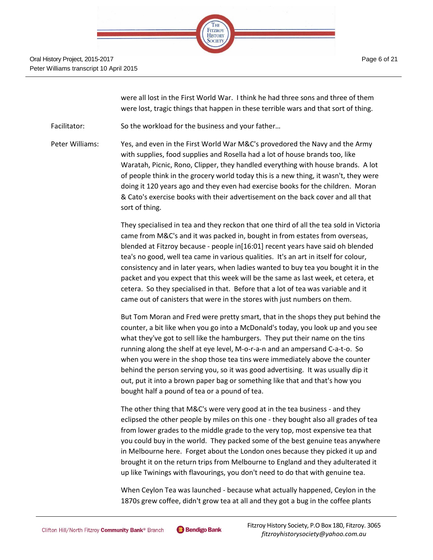

were all lost in the First World War. I think he had three sons and three of them were lost, tragic things that happen in these terrible wars and that sort of thing.

Facilitator: So the workload for the business and your father...

Peter Williams: Yes, and even in the First World War M&C's provedored the Navy and the Army with supplies, food supplies and Rosella had a lot of house brands too, like Waratah, Picnic, Rono, Clipper, they handled everything with house brands. A lot of people think in the grocery world today this is a new thing, it wasn't, they were doing it 120 years ago and they even had exercise books for the children. Moran & Cato's exercise books with their advertisement on the back cover and all that sort of thing.

> They specialised in tea and they reckon that one third of all the tea sold in Victoria came from M&C's and it was packed in, bought in from estates from overseas, blended at Fitzroy because - people in[16:01] recent years have said oh blended tea's no good, well tea came in various qualities. It's an art in itself for colour, consistency and in later years, when ladies wanted to buy tea you bought it in the packet and you expect that this week will be the same as last week, et cetera, et cetera. So they specialised in that. Before that a lot of tea was variable and it came out of canisters that were in the stores with just numbers on them.

> But Tom Moran and Fred were pretty smart, that in the shops they put behind the counter, a bit like when you go into a McDonald's today, you look up and you see what they've got to sell like the hamburgers. They put their name on the tins running along the shelf at eye level, M-o-r-a-n and an ampersand C-a-t-o. So when you were in the shop those tea tins were immediately above the counter behind the person serving you, so it was good advertising. It was usually dip it out, put it into a brown paper bag or something like that and that's how you bought half a pound of tea or a pound of tea.

> The other thing that M&C's were very good at in the tea business - and they eclipsed the other people by miles on this one - they bought also all grades of tea from lower grades to the middle grade to the very top, most expensive tea that you could buy in the world. They packed some of the best genuine teas anywhere in Melbourne here. Forget about the London ones because they picked it up and brought it on the return trips from Melbourne to England and they adulterated it up like Twinings with flavourings, you don't need to do that with genuine tea.

When Ceylon Tea was launched - because what actually happened, Ceylon in the 1870s grew coffee, didn't grow tea at all and they got a bug in the coffee plants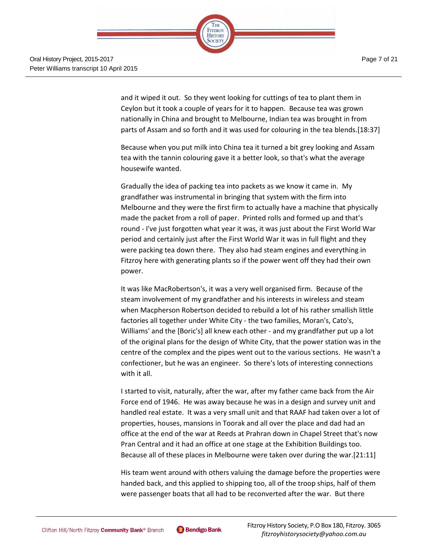

and it wiped it out. So they went looking for cuttings of tea to plant them in Ceylon but it took a couple of years for it to happen. Because tea was grown nationally in China and brought to Melbourne, Indian tea was brought in from parts of Assam and so forth and it was used for colouring in the tea blends.[18:37]

Because when you put milk into China tea it turned a bit grey looking and Assam tea with the tannin colouring gave it a better look, so that's what the average housewife wanted.

Gradually the idea of packing tea into packets as we know it came in. My grandfather was instrumental in bringing that system with the firm into Melbourne and they were the first firm to actually have a machine that physically made the packet from a roll of paper. Printed rolls and formed up and that's round - I've just forgotten what year it was, it was just about the First World War period and certainly just after the First World War it was in full flight and they were packing tea down there. They also had steam engines and everything in Fitzroy here with generating plants so if the power went off they had their own power.

It was like MacRobertson's, it was a very well organised firm. Because of the steam involvement of my grandfather and his interests in wireless and steam when Macpherson Robertson decided to rebuild a lot of his rather smallish little factories all together under White City - the two families, Moran's, Cato's, Williams' and the [Boric's] all knew each other - and my grandfather put up a lot of the original plans for the design of White City, that the power station was in the centre of the complex and the pipes went out to the various sections. He wasn't a confectioner, but he was an engineer. So there's lots of interesting connections with it all.

I started to visit, naturally, after the war, after my father came back from the Air Force end of 1946. He was away because he was in a design and survey unit and handled real estate. It was a very small unit and that RAAF had taken over a lot of properties, houses, mansions in Toorak and all over the place and dad had an office at the end of the war at Reeds at Prahran down in Chapel Street that's now Pran Central and it had an office at one stage at the Exhibition Buildings too. Because all of these places in Melbourne were taken over during the war.[21:11]

His team went around with others valuing the damage before the properties were handed back, and this applied to shipping too, all of the troop ships, half of them were passenger boats that all had to be reconverted after the war. But there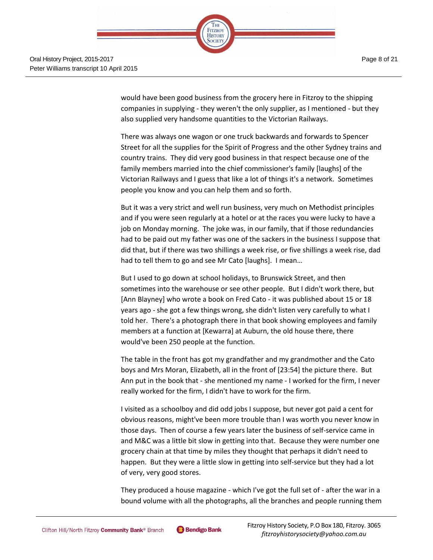

would have been good business from the grocery here in Fitzroy to the shipping companies in supplying - they weren't the only supplier, as I mentioned - but they also supplied very handsome quantities to the Victorian Railways.

There was always one wagon or one truck backwards and forwards to Spencer Street for all the supplies for the Spirit of Progress and the other Sydney trains and country trains. They did very good business in that respect because one of the family members married into the chief commissioner's family [laughs] of the Victorian Railways and I guess that like a lot of things it's a network. Sometimes people you know and you can help them and so forth.

But it was a very strict and well run business, very much on Methodist principles and if you were seen regularly at a hotel or at the races you were lucky to have a job on Monday morning. The joke was, in our family, that if those redundancies had to be paid out my father was one of the sackers in the business I suppose that did that, but if there was two shillings a week rise, or five shillings a week rise, dad had to tell them to go and see Mr Cato [laughs]. I mean…

But I used to go down at school holidays, to Brunswick Street, and then sometimes into the warehouse or see other people. But I didn't work there, but [Ann Blayney] who wrote a book on Fred Cato - it was published about 15 or 18 years ago - she got a few things wrong, she didn't listen very carefully to what I told her. There's a photograph there in that book showing employees and family members at a function at [Kewarra] at Auburn, the old house there, there would've been 250 people at the function.

The table in the front has got my grandfather and my grandmother and the Cato boys and Mrs Moran, Elizabeth, all in the front of [23:54] the picture there. But Ann put in the book that - she mentioned my name - I worked for the firm, I never really worked for the firm, I didn't have to work for the firm.

I visited as a schoolboy and did odd jobs I suppose, but never got paid a cent for obvious reasons, might've been more trouble than I was worth you never know in those days. Then of course a few years later the business of self-service came in and M&C was a little bit slow in getting into that. Because they were number one grocery chain at that time by miles they thought that perhaps it didn't need to happen. But they were a little slow in getting into self-service but they had a lot of very, very good stores.

They produced a house magazine - which I've got the full set of - after the war in a bound volume with all the photographs, all the branches and people running them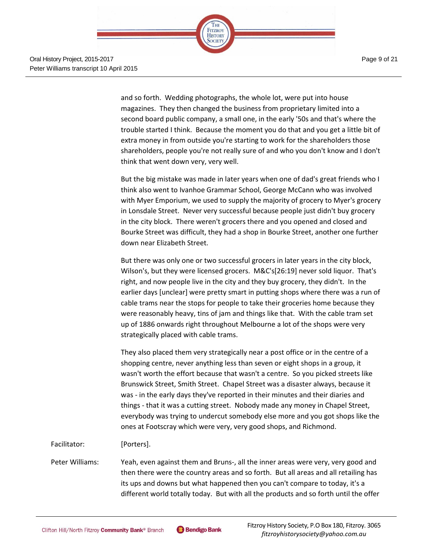

Page 9 of 21

and so forth. Wedding photographs, the whole lot, were put into house magazines. They then changed the business from proprietary limited into a second board public company, a small one, in the early '50s and that's where the trouble started I think. Because the moment you do that and you get a little bit of extra money in from outside you're starting to work for the shareholders those shareholders, people you're not really sure of and who you don't know and I don't think that went down very, very well.

But the big mistake was made in later years when one of dad's great friends who I think also went to Ivanhoe Grammar School, George McCann who was involved with Myer Emporium, we used to supply the majority of grocery to Myer's grocery in Lonsdale Street. Never very successful because people just didn't buy grocery in the city block. There weren't grocers there and you opened and closed and Bourke Street was difficult, they had a shop in Bourke Street, another one further down near Elizabeth Street.

But there was only one or two successful grocers in later years in the city block, Wilson's, but they were licensed grocers. M&C's[26:19] never sold liquor. That's right, and now people live in the city and they buy grocery, they didn't. In the earlier days [unclear] were pretty smart in putting shops where there was a run of cable trams near the stops for people to take their groceries home because they were reasonably heavy, tins of jam and things like that. With the cable tram set up of 1886 onwards right throughout Melbourne a lot of the shops were very strategically placed with cable trams.

They also placed them very strategically near a post office or in the centre of a shopping centre, never anything less than seven or eight shops in a group, it wasn't worth the effort because that wasn't a centre. So you picked streets like Brunswick Street, Smith Street. Chapel Street was a disaster always, because it was - in the early days they've reported in their minutes and their diaries and things - that it was a cutting street. Nobody made any money in Chapel Street, everybody was trying to undercut somebody else more and you got shops like the ones at Footscray which were very, very good shops, and Richmond.

Facilitator: [Porters].

Peter Williams: Yeah, even against them and Bruns-, all the inner areas were very, very good and then there were the country areas and so forth. But all areas and all retailing has its ups and downs but what happened then you can't compare to today, it's a different world totally today. But with all the products and so forth until the offer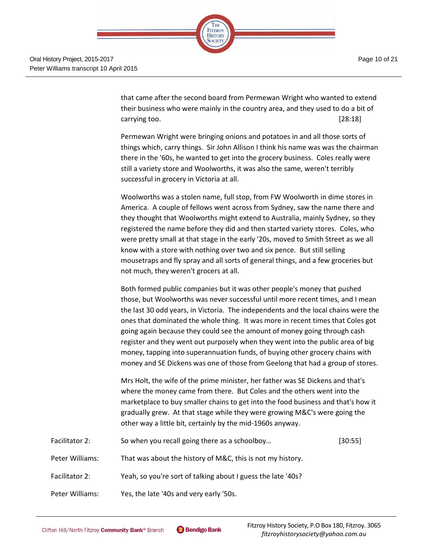Page 10 of 21



that came after the second board from Permewan Wright who wanted to extend their business who were mainly in the country area, and they used to do a bit of carrying too. [28:18]

Permewan Wright were bringing onions and potatoes in and all those sorts of things which, carry things. Sir John Allison I think his name was was the chairman there in the '60s, he wanted to get into the grocery business. Coles really were still a variety store and Woolworths, it was also the same, weren't terribly successful in grocery in Victoria at all.

Woolworths was a stolen name, full stop, from FW Woolworth in dime stores in America. A couple of fellows went across from Sydney, saw the name there and they thought that Woolworths might extend to Australia, mainly Sydney, so they registered the name before they did and then started variety stores. Coles, who were pretty small at that stage in the early '20s, moved to Smith Street as we all know with a store with nothing over two and six pence. But still selling mousetraps and fly spray and all sorts of general things, and a few groceries but not much, they weren't grocers at all.

Both formed public companies but it was other people's money that pushed those, but Woolworths was never successful until more recent times, and I mean the last 30 odd years, in Victoria. The independents and the local chains were the ones that dominated the whole thing. It was more in recent times that Coles got going again because they could see the amount of money going through cash register and they went out purposely when they went into the public area of big money, tapping into superannuation funds, of buying other grocery chains with money and SE Dickens was one of those from Geelong that had a group of stores.

Mrs Holt, the wife of the prime minister, her father was SE Dickens and that's where the money came from there. But Coles and the others went into the marketplace to buy smaller chains to get into the food business and that's how it gradually grew. At that stage while they were growing M&C's were going the other way a little bit, certainly by the mid-1960s anyway.

| Facilitator 2:  | So when you recall going there as a schoolboy                | $[30:55]$ |
|-----------------|--------------------------------------------------------------|-----------|
| Peter Williams: | That was about the history of M&C, this is not my history.   |           |
| Facilitator 2:  | Yeah, so you're sort of talking about I guess the late '40s? |           |
| Peter Williams: | Yes, the late '40s and very early '50s.                      |           |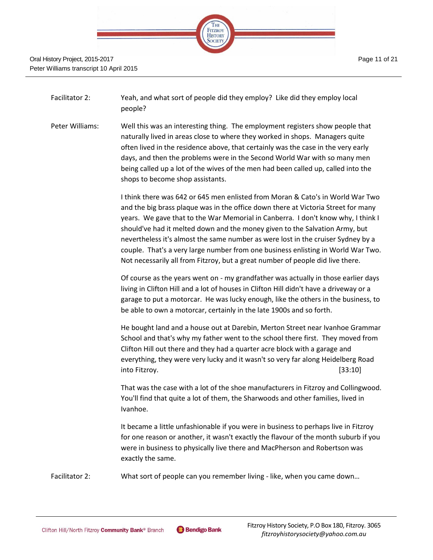

Facilitator 2: Yeah, and what sort of people did they employ? Like did they employ local people?

Peter Williams: Well this was an interesting thing. The employment registers show people that naturally lived in areas close to where they worked in shops. Managers quite often lived in the residence above, that certainly was the case in the very early days, and then the problems were in the Second World War with so many men being called up a lot of the wives of the men had been called up, called into the shops to become shop assistants.

> I think there was 642 or 645 men enlisted from Moran & Cato's in World War Two and the big brass plaque was in the office down there at Victoria Street for many years. We gave that to the War Memorial in Canberra. I don't know why, I think I should've had it melted down and the money given to the Salvation Army, but nevertheless it's almost the same number as were lost in the cruiser Sydney by a couple. That's a very large number from one business enlisting in World War Two. Not necessarily all from Fitzroy, but a great number of people did live there.

> Of course as the years went on - my grandfather was actually in those earlier days living in Clifton Hill and a lot of houses in Clifton Hill didn't have a driveway or a garage to put a motorcar. He was lucky enough, like the others in the business, to be able to own a motorcar, certainly in the late 1900s and so forth.

> He bought land and a house out at Darebin, Merton Street near Ivanhoe Grammar School and that's why my father went to the school there first. They moved from Clifton Hill out there and they had a quarter acre block with a garage and everything, they were very lucky and it wasn't so very far along Heidelberg Road into Fitzroy. [33:10]

> That was the case with a lot of the shoe manufacturers in Fitzroy and Collingwood. You'll find that quite a lot of them, the Sharwoods and other families, lived in Ivanhoe.

> It became a little unfashionable if you were in business to perhaps live in Fitzroy for one reason or another, it wasn't exactly the flavour of the month suburb if you were in business to physically live there and MacPherson and Robertson was exactly the same.

Facilitator 2: What sort of people can you remember living - like, when you came down…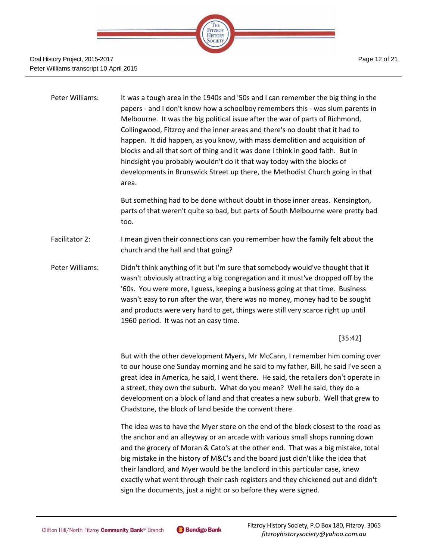

| Peter Williams: | It was a tough area in the 1940s and '50s and I can remember the big thing in the<br>papers - and I don't know how a schoolboy remembers this - was slum parents in<br>Melbourne. It was the big political issue after the war of parts of Richmond,<br>Collingwood, Fitzroy and the inner areas and there's no doubt that it had to<br>happen. It did happen, as you know, with mass demolition and acquisition of<br>blocks and all that sort of thing and it was done I think in good faith. But in<br>hindsight you probably wouldn't do it that way today with the blocks of<br>developments in Brunswick Street up there, the Methodist Church going in that<br>area.<br>But something had to be done without doubt in those inner areas. Kensington, |
|-----------------|-------------------------------------------------------------------------------------------------------------------------------------------------------------------------------------------------------------------------------------------------------------------------------------------------------------------------------------------------------------------------------------------------------------------------------------------------------------------------------------------------------------------------------------------------------------------------------------------------------------------------------------------------------------------------------------------------------------------------------------------------------------|
|                 | parts of that weren't quite so bad, but parts of South Melbourne were pretty bad<br>too.                                                                                                                                                                                                                                                                                                                                                                                                                                                                                                                                                                                                                                                                    |
| Facilitator 2:  | I mean given their connections can you remember how the family felt about the<br>church and the hall and that going?                                                                                                                                                                                                                                                                                                                                                                                                                                                                                                                                                                                                                                        |

Peter Williams: Didn't think anything of it but I'm sure that somebody would've thought that it wasn't obviously attracting a big congregation and it must've dropped off by the '60s. You were more, I guess, keeping a business going at that time. Business wasn't easy to run after the war, there was no money, money had to be sought and products were very hard to get, things were still very scarce right up until 1960 period. It was not an easy time.

[35:42]

But with the other development Myers, Mr McCann, I remember him coming over to our house one Sunday morning and he said to my father, Bill, he said I've seen a great idea in America, he said, I went there. He said, the retailers don't operate in a street, they own the suburb. What do you mean? Well he said, they do a development on a block of land and that creates a new suburb. Well that grew to Chadstone, the block of land beside the convent there.

The idea was to have the Myer store on the end of the block closest to the road as the anchor and an alleyway or an arcade with various small shops running down and the grocery of Moran & Cato's at the other end. That was a big mistake, total big mistake in the history of M&C's and the board just didn't like the idea that their landlord, and Myer would be the landlord in this particular case, knew exactly what went through their cash registers and they chickened out and didn't sign the documents, just a night or so before they were signed.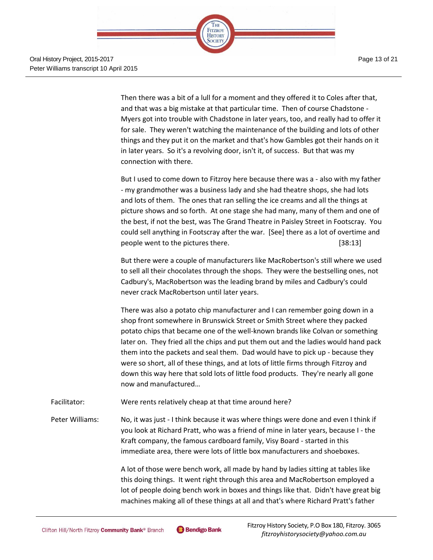

Then there was a bit of a lull for a moment and they offered it to Coles after that, and that was a big mistake at that particular time. Then of course Chadstone - Myers got into trouble with Chadstone in later years, too, and really had to offer it for sale. They weren't watching the maintenance of the building and lots of other things and they put it on the market and that's how Gambles got their hands on it in later years. So it's a revolving door, isn't it, of success. But that was my connection with there.

But I used to come down to Fitzroy here because there was a - also with my father - my grandmother was a business lady and she had theatre shops, she had lots and lots of them. The ones that ran selling the ice creams and all the things at picture shows and so forth. At one stage she had many, many of them and one of the best, if not the best, was The Grand Theatre in Paisley Street in Footscray. You could sell anything in Footscray after the war. [See] there as a lot of overtime and people went to the pictures there. [38:13]

But there were a couple of manufacturers like MacRobertson's still where we used to sell all their chocolates through the shops. They were the bestselling ones, not Cadbury's, MacRobertson was the leading brand by miles and Cadbury's could never crack MacRobertson until later years.

There was also a potato chip manufacturer and I can remember going down in a shop front somewhere in Brunswick Street or Smith Street where they packed potato chips that became one of the well-known brands like Colvan or something later on. They fried all the chips and put them out and the ladies would hand pack them into the packets and seal them. Dad would have to pick up - because they were so short, all of these things, and at lots of little firms through Fitzroy and down this way here that sold lots of little food products. They're nearly all gone now and manufactured…

Facilitator: Were rents relatively cheap at that time around here?

Peter Williams: No, it was just - I think because it was where things were done and even I think if you look at Richard Pratt, who was a friend of mine in later years, because I - the Kraft company, the famous cardboard family, Visy Board - started in this immediate area, there were lots of little box manufacturers and shoeboxes.

> A lot of those were bench work, all made by hand by ladies sitting at tables like this doing things. It went right through this area and MacRobertson employed a lot of people doing bench work in boxes and things like that. Didn't have great big machines making all of these things at all and that's where Richard Pratt's father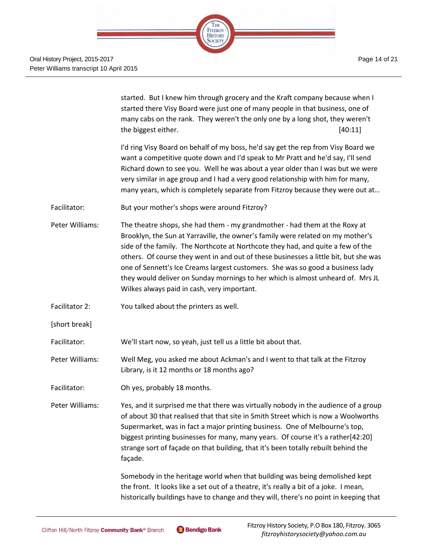

|                 | started. But I knew him through grocery and the Kraft company because when I<br>started there Visy Board were just one of many people in that business, one of<br>many cabs on the rank. They weren't the only one by a long shot, they weren't<br>the biggest either.<br>[40:11]                                                                                                                                                                                                                                                                            |
|-----------------|--------------------------------------------------------------------------------------------------------------------------------------------------------------------------------------------------------------------------------------------------------------------------------------------------------------------------------------------------------------------------------------------------------------------------------------------------------------------------------------------------------------------------------------------------------------|
|                 | I'd ring Visy Board on behalf of my boss, he'd say get the rep from Visy Board we<br>want a competitive quote down and I'd speak to Mr Pratt and he'd say, I'll send<br>Richard down to see you. Well he was about a year older than I was but we were<br>very similar in age group and I had a very good relationship with him for many,<br>many years, which is completely separate from Fitzroy because they were out at                                                                                                                                  |
| Facilitator:    | But your mother's shops were around Fitzroy?                                                                                                                                                                                                                                                                                                                                                                                                                                                                                                                 |
| Peter Williams: | The theatre shops, she had them - my grandmother - had them at the Roxy at<br>Brooklyn, the Sun at Yarraville, the owner's family were related on my mother's<br>side of the family. The Northcote at Northcote they had, and quite a few of the<br>others. Of course they went in and out of these businesses a little bit, but she was<br>one of Sennett's Ice Creams largest customers. She was so good a business lady<br>they would deliver on Sunday mornings to her which is almost unheard of. Mrs JL<br>Wilkes always paid in cash, very important. |
| Facilitator 2:  | You talked about the printers as well.                                                                                                                                                                                                                                                                                                                                                                                                                                                                                                                       |
| [short break]   |                                                                                                                                                                                                                                                                                                                                                                                                                                                                                                                                                              |
| Facilitator:    | We'll start now, so yeah, just tell us a little bit about that.                                                                                                                                                                                                                                                                                                                                                                                                                                                                                              |
| Peter Williams: | Well Meg, you asked me about Ackman's and I went to that talk at the Fitzroy<br>Library, is it 12 months or 18 months ago?                                                                                                                                                                                                                                                                                                                                                                                                                                   |
| Facilitator:    | Oh yes, probably 18 months.                                                                                                                                                                                                                                                                                                                                                                                                                                                                                                                                  |
| Peter Williams: | Yes, and it surprised me that there was virtually nobody in the audience of a group<br>of about 30 that realised that that site in Smith Street which is now a Woolworths<br>Supermarket, was in fact a major printing business. One of Melbourne's top,<br>biggest printing businesses for many, many years. Of course it's a rather[42:20]<br>strange sort of façade on that building, that it's been totally rebuilt behind the<br>façade.                                                                                                                |
|                 | Somebody in the heritage world when that building was being demolished kept<br>the front. It looks like a set out of a theatre, it's really a bit of a joke. I mean,<br>historically buildings have to change and they will, there's no point in keeping that                                                                                                                                                                                                                                                                                                |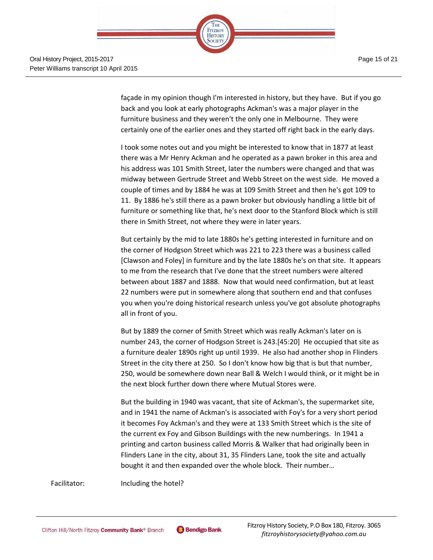

façade in my opinion though I'm interested in history, but they have. But if you go back and you look at early photographs Ackman's was a major player in the furniture business and they weren't the only one in Melbourne. They were certainly one of the earlier ones and they started off right back in the early days.

I took some notes out and you might be interested to know that in 1877 at least there was a Mr Henry Ackman and he operated as a pawn broker in this area and his address was 101 Smith Street, later the numbers were changed and that was midway between Gertrude Street and Webb Street on the west side. He moved a couple of times and by 1884 he was at 109 Smith Street and then he's got 109 to 11. By 1886 he's still there as a pawn broker but obviously handling a little bit of furniture or something like that, he's next door to the Stanford Block which is still there in Smith Street, not where they were in later years.

But certainly by the mid to late 1880s he's getting interested in furniture and on the corner of Hodgson Street which was 221 to 223 there was a business called [Clawson and Foley] in furniture and by the late 1880s he's on that site. It appears to me from the research that I've done that the street numbers were altered between about 1887 and 1888. Now that would need confirmation, but at least 22 numbers were put in somewhere along that southern end and that confuses you when you're doing historical research unless you've got absolute photographs all in front of you.

But by 1889 the corner of Smith Street which was really Ackman's later on is number 243, the corner of Hodgson Street is 243.[45:20] He occupied that site as a furniture dealer 1890s right up until 1939. He also had another shop in Flinders Street in the city there at 250. So I don't know how big that is but that number, 250, would be somewhere down near Ball & Welch I would think, or it might be in the next block further down there where Mutual Stores were.

But the building in 1940 was vacant, that site of Ackman's, the supermarket site, and in 1941 the name of Ackman's is associated with Foy's for a very short period it becomes Foy Ackman's and they were at 133 Smith Street which is the site of the current ex Foy and Gibson Buildings with the new numberings. In 1941 a printing and carton business called Morris & Walker that had originally been in Flinders Lane in the city, about 31, 35 Flinders Lane, took the site and actually bought it and then expanded over the whole block. Their number…

Facilitator: Including the hotel?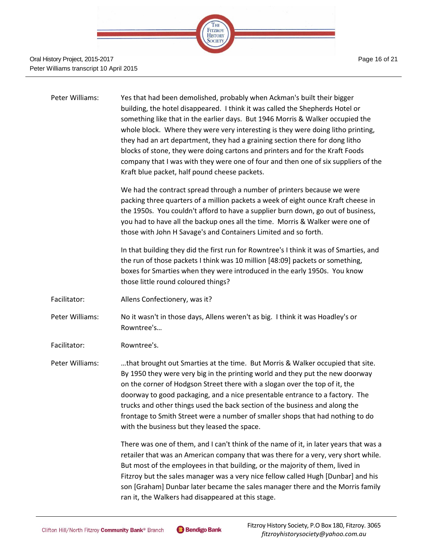

### Oral History Project, 2015-2017 Peter Williams transcript 10 April 2015

| Peter Williams: | Yes that had been demolished, probably when Ackman's built their bigger<br>building, the hotel disappeared. I think it was called the Shepherds Hotel or<br>something like that in the earlier days. But 1946 Morris & Walker occupied the<br>whole block. Where they were very interesting is they were doing litho printing,<br>they had an art department, they had a graining section there for dong litho<br>blocks of stone, they were doing cartons and printers and for the Kraft Foods<br>company that I was with they were one of four and then one of six suppliers of the<br>Kraft blue packet, half pound cheese packets. |
|-----------------|----------------------------------------------------------------------------------------------------------------------------------------------------------------------------------------------------------------------------------------------------------------------------------------------------------------------------------------------------------------------------------------------------------------------------------------------------------------------------------------------------------------------------------------------------------------------------------------------------------------------------------------|
|                 | We had the contract spread through a number of printers because we were<br>packing three quarters of a million packets a week of eight ounce Kraft cheese in<br>the 1950s. You couldn't afford to have a supplier burn down, go out of business,<br>you had to have all the backup ones all the time. Morris & Walker were one of<br>those with John H Savage's and Containers Limited and so forth.                                                                                                                                                                                                                                   |
|                 | In that building they did the first run for Rowntree's I think it was of Smarties, and<br>the run of those packets I think was 10 million [48:09] packets or something,<br>boxes for Smarties when they were introduced in the early 1950s. You know<br>those little round coloured things?                                                                                                                                                                                                                                                                                                                                            |
| Facilitator:    | Allens Confectionery, was it?                                                                                                                                                                                                                                                                                                                                                                                                                                                                                                                                                                                                          |
| Peter Williams: | No it wasn't in those days, Allens weren't as big. I think it was Hoadley's or<br>Rowntree's                                                                                                                                                                                                                                                                                                                                                                                                                                                                                                                                           |
| Facilitator:    | Rowntree's.                                                                                                                                                                                                                                                                                                                                                                                                                                                                                                                                                                                                                            |
| Peter Williams: | that brought out Smarties at the time. But Morris & Walker occupied that site.<br>By 1950 they were very big in the printing world and they put the new doorway<br>on the corner of Hodgson Street there with a slogan over the top of it, the<br>doorway to good packaging, and a nice presentable entrance to a factory. The<br>trucks and other things used the back section of the business and along the<br>frontage to Smith Street were a number of smaller shops that had nothing to do<br>with the business but they leased the space.                                                                                        |
|                 | There was one of them, and I can't think of the name of it, in later years that was a<br>retailer that was an American company that was there for a very, very short while.<br>But most of the employees in that building, or the majority of them, lived in<br>Fitzroy but the sales manager was a very nice fellow called Hugh [Dunbar] and his<br>son [Graham] Dunbar later became the sales manager there and the Morris family<br>ran it, the Walkers had disappeared at this stage.                                                                                                                                              |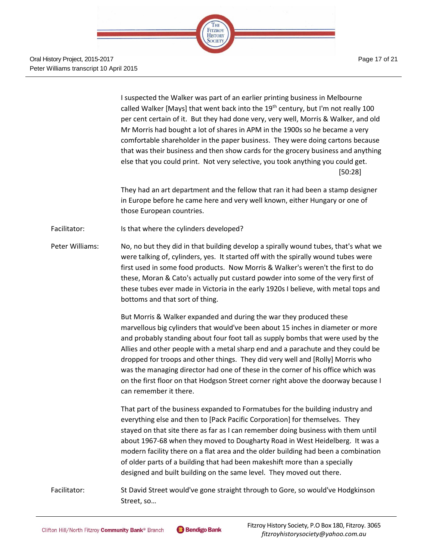

Page 17 of 21

I suspected the Walker was part of an earlier printing business in Melbourne called Walker [Mays] that went back into the  $19<sup>th</sup>$  century, but I'm not really 100 per cent certain of it. But they had done very, very well, Morris & Walker, and old Mr Morris had bought a lot of shares in APM in the 1900s so he became a very comfortable shareholder in the paper business. They were doing cartons because that was their business and then show cards for the grocery business and anything else that you could print. Not very selective, you took anything you could get. [50:28]

They had an art department and the fellow that ran it had been a stamp designer in Europe before he came here and very well known, either Hungary or one of those European countries.

Facilitator: Is that where the cylinders developed?

Peter Williams: No, no but they did in that building develop a spirally wound tubes, that's what we were talking of, cylinders, yes. It started off with the spirally wound tubes were first used in some food products. Now Morris & Walker's weren't the first to do these, Moran & Cato's actually put custard powder into some of the very first of these tubes ever made in Victoria in the early 1920s I believe, with metal tops and bottoms and that sort of thing.

> But Morris & Walker expanded and during the war they produced these marvellous big cylinders that would've been about 15 inches in diameter or more and probably standing about four foot tall as supply bombs that were used by the Allies and other people with a metal sharp end and a parachute and they could be dropped for troops and other things. They did very well and [Rolly] Morris who was the managing director had one of these in the corner of his office which was on the first floor on that Hodgson Street corner right above the doorway because I can remember it there.

> That part of the business expanded to Formatubes for the building industry and everything else and then to [Pack Pacific Corporation] for themselves. They stayed on that site there as far as I can remember doing business with them until about 1967-68 when they moved to Dougharty Road in West Heidelberg. It was a modern facility there on a flat area and the older building had been a combination of older parts of a building that had been makeshift more than a specially designed and built building on the same level. They moved out there.

Facilitator: St David Street would've gone straight through to Gore, so would've Hodgkinson Street, so…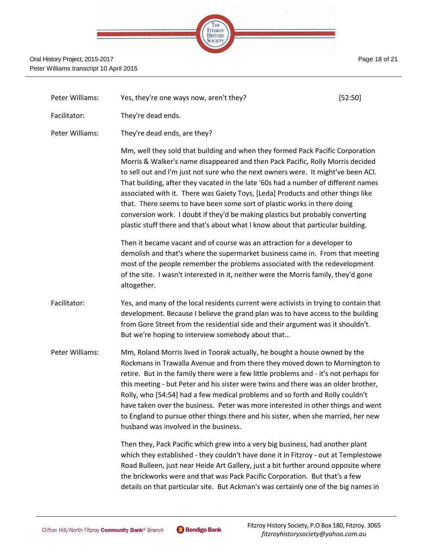| Page 18 of 21 |  |  |  |
|---------------|--|--|--|
|---------------|--|--|--|



| Peter Williams: | Yes, they're one ways now, aren't they?                                                                                                                                                                                                                                                                                                                                                                                                                                                                                                                                                                                                                                          | [52:50] |
|-----------------|----------------------------------------------------------------------------------------------------------------------------------------------------------------------------------------------------------------------------------------------------------------------------------------------------------------------------------------------------------------------------------------------------------------------------------------------------------------------------------------------------------------------------------------------------------------------------------------------------------------------------------------------------------------------------------|---------|
| Facilitator:    | They're dead ends.                                                                                                                                                                                                                                                                                                                                                                                                                                                                                                                                                                                                                                                               |         |
| Peter Williams: | They're dead ends, are they?                                                                                                                                                                                                                                                                                                                                                                                                                                                                                                                                                                                                                                                     |         |
|                 | Mm, well they sold that building and when they formed Pack Pacific Corporation<br>Morris & Walker's name disappeared and then Pack Pacific, Rolly Morris decided<br>to sell out and I'm just not sure who the next owners were. It might've been ACI.<br>That building, after they vacated in the late '60s had a number of different names<br>associated with it. There was Gaiety Toys, [Leda] Products and other things like<br>that. There seems to have been some sort of plastic works in there doing<br>conversion work. I doubt if they'd be making plastics but probably converting<br>plastic stuff there and that's about what I know about that particular building. |         |
|                 | Then it became vacant and of course was an attraction for a developer to<br>demolish and that's where the supermarket business came in. From that meeting<br>most of the people remember the problems associated with the redevelopment<br>of the site. I wasn't interested in it, neither were the Morris family, they'd gone<br>altogether.                                                                                                                                                                                                                                                                                                                                    |         |
| Facilitator:    | Yes, and many of the local residents current were activists in trying to contain that<br>development. Because I believe the grand plan was to have access to the building<br>from Gore Street from the residential side and their argument was it shouldn't.<br>But we're hoping to interview somebody about that                                                                                                                                                                                                                                                                                                                                                                |         |
| Peter Williams: | Mm, Roland Morris lived in Toorak actually, he bought a house owned by the<br>Rockmans in Trawalla Avenue and from there they moved down to Mornington to<br>retire. But in the family there were a few little problems and - it's not perhaps for<br>this meeting - but Peter and his sister were twins and there was an older brother,<br>Rolly, who [54:54] had a few medical problems and so forth and Rolly couldn't<br>have taken over the business. Peter was more interested in other things and went<br>to England to pursue other things there and his sister, when she married, her new<br>husband was involved in the business.                                      |         |
|                 | Then they, Pack Pacific which grew into a very big business, had another plant<br>which they established - they couldn't have done it in Fitzroy - out at Templestowe<br>Road Bulleen, just near Heide Art Gallery, just a bit further around opposite where<br>the brickworks were and that was Pack Pacific Corporation. But that's a few<br>details on that particular site. But Ackman's was certainly one of the big names in                                                                                                                                                                                                                                               |         |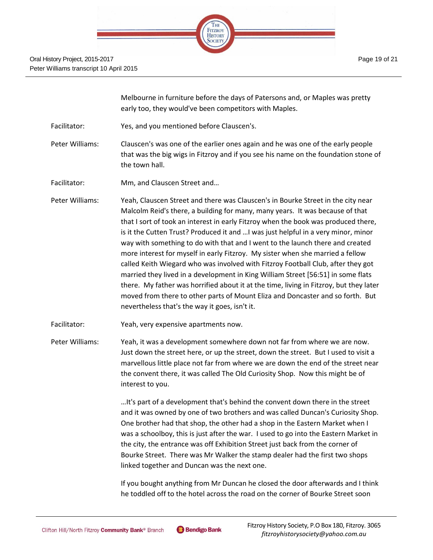

Melbourne in furniture before the days of Patersons and, or Maples was pretty early too, they would've been competitors with Maples.

Facilitator: Yes, and you mentioned before Clauscen's.

Peter Williams: Clauscen's was one of the earlier ones again and he was one of the early people that was the big wigs in Fitzroy and if you see his name on the foundation stone of the town hall.

- Facilitator: Mm, and Clauscen Street and…
- Peter Williams: Yeah, Clauscen Street and there was Clauscen's in Bourke Street in the city near Malcolm Reid's there, a building for many, many years. It was because of that that I sort of took an interest in early Fitzroy when the book was produced there, is it the Cutten Trust? Produced it and …I was just helpful in a very minor, minor way with something to do with that and I went to the launch there and created more interest for myself in early Fitzroy. My sister when she married a fellow called Keith Wiegard who was involved with Fitzroy Football Club, after they got married they lived in a development in King William Street [56:51] in some flats there. My father was horrified about it at the time, living in Fitzroy, but they later moved from there to other parts of Mount Eliza and Doncaster and so forth. But nevertheless that's the way it goes, isn't it.
- Facilitator: Yeah, very expensive apartments now.
- Peter Williams: Yeah, it was a development somewhere down not far from where we are now. Just down the street here, or up the street, down the street. But I used to visit a marvellous little place not far from where we are down the end of the street near the convent there, it was called The Old Curiosity Shop. Now this might be of interest to you.

…It's part of a development that's behind the convent down there in the street and it was owned by one of two brothers and was called Duncan's Curiosity Shop. One brother had that shop, the other had a shop in the Eastern Market when I was a schoolboy, this is just after the war. I used to go into the Eastern Market in the city, the entrance was off Exhibition Street just back from the corner of Bourke Street. There was Mr Walker the stamp dealer had the first two shops linked together and Duncan was the next one.

If you bought anything from Mr Duncan he closed the door afterwards and I think he toddled off to the hotel across the road on the corner of Bourke Street soon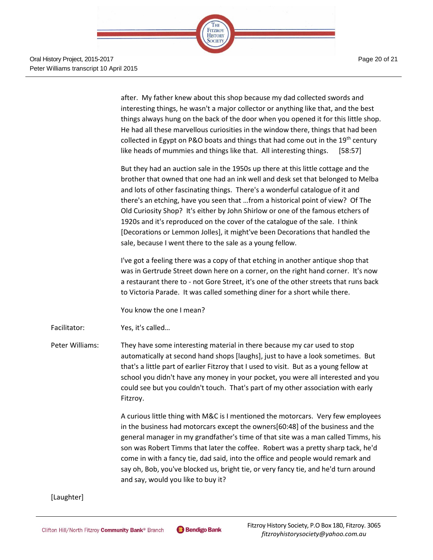Page 20 of 21



Oral History Project, 2015-2017 Peter Williams transcript 10 April 2015

> after. My father knew about this shop because my dad collected swords and interesting things, he wasn't a major collector or anything like that, and the best things always hung on the back of the door when you opened it for this little shop. He had all these marvellous curiosities in the window there, things that had been collected in Egypt on P&O boats and things that had come out in the 19<sup>th</sup> century like heads of mummies and things like that. All interesting things. [58:57]

But they had an auction sale in the 1950s up there at this little cottage and the brother that owned that one had an ink well and desk set that belonged to Melba and lots of other fascinating things. There's a wonderful catalogue of it and there's an etching, have you seen that …from a historical point of view? Of The Old Curiosity Shop? It's either by John Shirlow or one of the famous etchers of 1920s and it's reproduced on the cover of the catalogue of the sale. I think [Decorations or Lemmon Jolles], it might've been Decorations that handled the sale, because I went there to the sale as a young fellow.

I've got a feeling there was a copy of that etching in another antique shop that was in Gertrude Street down here on a corner, on the right hand corner. It's now a restaurant there to - not Gore Street, it's one of the other streets that runs back to Victoria Parade. It was called something diner for a short while there.

You know the one I mean?

Facilitator: Yes, it's called…

Peter Williams: They have some interesting material in there because my car used to stop automatically at second hand shops [laughs], just to have a look sometimes. But that's a little part of earlier Fitzroy that I used to visit. But as a young fellow at school you didn't have any money in your pocket, you were all interested and you could see but you couldn't touch. That's part of my other association with early Fitzroy.

> A curious little thing with M&C is I mentioned the motorcars. Very few employees in the business had motorcars except the owners[60:48] of the business and the general manager in my grandfather's time of that site was a man called Timms, his son was Robert Timms that later the coffee. Robert was a pretty sharp tack, he'd come in with a fancy tie, dad said, into the office and people would remark and say oh, Bob, you've blocked us, bright tie, or very fancy tie, and he'd turn around and say, would you like to buy it?

#### [Laughter]